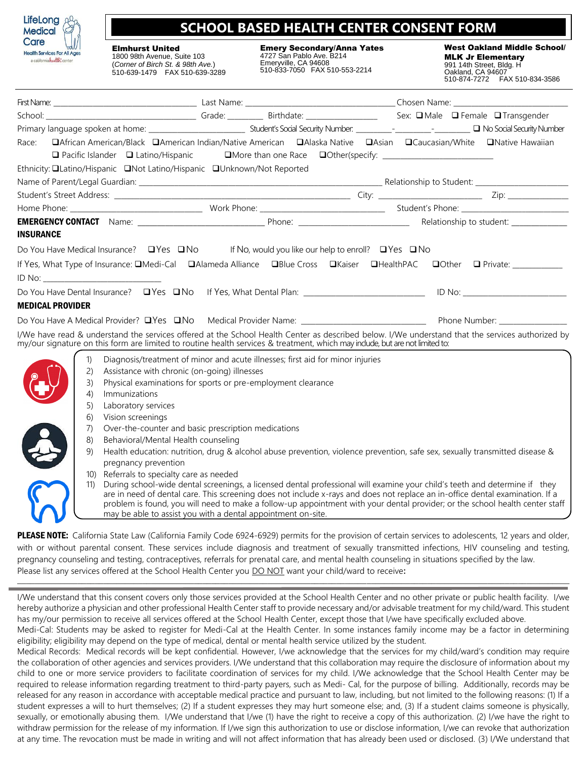

## **SCHOOL BASED HEALTH CENTER CONSENT FORM**

Elmhurst United 1800 98th Avenue, Suite 103

(*Corner of Birch St. & 98th Ave.*) 510-639-1479 FAX 510-639-3289 Emery Secondary/Anna Yates 4727 San Pablo Ave. B214 Emeryville, CA 94608 510-833-7050 FAX 510-553-2214

West Oakland Middle School/ MLK Jr Elementary 991 14th Street, Bldg. H Oakland, CA 94607 510-874-7272 FAX 510-834-3586

| Race:                   | □African American/Black □American Indian/Native American □Alaska Native □Asian □Caucasian/White □Native Hawaiian                                                                                                                                                                |  |  |  |  |  |  |  |
|-------------------------|---------------------------------------------------------------------------------------------------------------------------------------------------------------------------------------------------------------------------------------------------------------------------------|--|--|--|--|--|--|--|
|                         | □ Pacific Islander □ Latino/Hispanic □ □ More than one Race □ Other(specify: _____________________                                                                                                                                                                              |  |  |  |  |  |  |  |
|                         | Ethnicity: <b>QLatino/Hispanic QNot Latino/Hispanic QUnknown/Not Reported</b>                                                                                                                                                                                                   |  |  |  |  |  |  |  |
|                         |                                                                                                                                                                                                                                                                                 |  |  |  |  |  |  |  |
|                         |                                                                                                                                                                                                                                                                                 |  |  |  |  |  |  |  |
|                         |                                                                                                                                                                                                                                                                                 |  |  |  |  |  |  |  |
|                         |                                                                                                                                                                                                                                                                                 |  |  |  |  |  |  |  |
| <b>INSURANCE</b>        |                                                                                                                                                                                                                                                                                 |  |  |  |  |  |  |  |
|                         | Do You Have Medical Insurance? $\Box$ Yes $\Box$ No If No, would you like our help to enroll? $\Box$ Yes $\Box$ No                                                                                                                                                              |  |  |  |  |  |  |  |
|                         | If Yes, What Type of Insurance: <b>QMedi-Cal QAlameda Alliance QBlue Cross QKaiser QHealthPAC QOther Q</b> Private: _________                                                                                                                                                   |  |  |  |  |  |  |  |
|                         |                                                                                                                                                                                                                                                                                 |  |  |  |  |  |  |  |
|                         |                                                                                                                                                                                                                                                                                 |  |  |  |  |  |  |  |
|                         |                                                                                                                                                                                                                                                                                 |  |  |  |  |  |  |  |
| <b>MEDICAL PROVIDER</b> |                                                                                                                                                                                                                                                                                 |  |  |  |  |  |  |  |
|                         |                                                                                                                                                                                                                                                                                 |  |  |  |  |  |  |  |
|                         | I/We have read & understand the services offered at the School Health Center as described below. I/We understand that the services authorized by<br>my/our signature on this form are limited to routine health services & treatment, which may indude, but are not limited to: |  |  |  |  |  |  |  |
| 1)                      | Diagnosis/treatment of minor and acute illnesses; first aid for minor injuries                                                                                                                                                                                                  |  |  |  |  |  |  |  |
| (2)                     | Assistance with chronic (on-going) illnesses                                                                                                                                                                                                                                    |  |  |  |  |  |  |  |
| 3)                      | Physical examinations for sports or pre-employment clearance                                                                                                                                                                                                                    |  |  |  |  |  |  |  |
| 4)                      | Immunizations                                                                                                                                                                                                                                                                   |  |  |  |  |  |  |  |
| 5)                      | Laboratory services                                                                                                                                                                                                                                                             |  |  |  |  |  |  |  |
| 6)                      | Vision screenings                                                                                                                                                                                                                                                               |  |  |  |  |  |  |  |
| 7)                      | Over-the-counter and basic prescription medications                                                                                                                                                                                                                             |  |  |  |  |  |  |  |
| 8)                      | Behavioral/Mental Health counseling                                                                                                                                                                                                                                             |  |  |  |  |  |  |  |
| 9)                      | Health education: nutrition, drug & alcohol abuse prevention, violence prevention, safe sex, sexually transmitted disease &                                                                                                                                                     |  |  |  |  |  |  |  |
|                         | pregnancy prevention                                                                                                                                                                                                                                                            |  |  |  |  |  |  |  |
| 10)                     | Referrals to specialty care as needed                                                                                                                                                                                                                                           |  |  |  |  |  |  |  |
| 11)                     | During school-wide dental screenings, a licensed dental professional will examine your child's teeth and determine if they                                                                                                                                                      |  |  |  |  |  |  |  |
|                         | are in need of dental care. This screening does not include x-rays and does not replace an in-office dental examination. If a<br>problem is found, you will need to make a follow-up appointment with your dental provider; or the school health center staff                   |  |  |  |  |  |  |  |
|                         | may be able to assist you with a dental appointment on-site.                                                                                                                                                                                                                    |  |  |  |  |  |  |  |
|                         |                                                                                                                                                                                                                                                                                 |  |  |  |  |  |  |  |

PLEASE NOTE: California State Law (California Family Code 6924-6929) permits for the provision of certain services to adolescents, 12 years and older, with or without parental consent. These services include diagnosis and treatment of sexually transmitted infections, HIV counseling and testing, pregnancy counseling and testing, contraceptives, referrals for prenatal care, and mental health counseling in situations specified by the law. Please list any services offered at the School Health Center you DO NOT want your child/ward to receive**:** 

I/We understand that this consent covers only those services provided at the School Health Center and no other private or public health facility. I/we hereby authorize a physician and other professional Health Center staff to provide necessary and/or advisable treatment for my child/ward. This student has my/our permission to receive all services offered at the School Health Center, except those that I/we have specifically excluded above.

**\_\_\_\_\_\_\_\_\_\_\_\_\_\_\_\_\_\_\_\_\_\_\_\_\_\_\_\_\_\_\_\_\_\_\_\_\_\_\_\_\_\_\_\_\_\_\_\_\_\_\_\_\_\_\_\_\_\_\_\_\_\_\_\_\_\_\_\_\_\_\_\_\_\_\_\_\_\_\_\_\_\_\_\_\_\_\_\_\_\_\_\_\_\_\_\_\_\_\_\_\_\_\_\_\_\_\_\_\_\_\_\_\_\_\_\_\_\_\_\_\_\_\_\_\_\_\_\_**

Medi-Cal: Students may be asked to register for Medi-Cal at the Health Center. In some instances family income may be a factor in determining eligibility; eligibility may depend on the type of medical, dental or mental health service utilized by the student.

Medical Records: Medical records will be kept confidential. However, I/we acknowledge that the services for my child/ward's condition may require the collaboration of other agencies and services providers. I/We understand that this collaboration may require the disclosure of information about my child to one or more service providers to facilitate coordination of services for my child. I/We acknowledge that the School Health Center may be required to release information regarding treatment to third-party payers, such as Medi- Cal, for the purpose of billing. Additionally, records may be released for any reason in accordance with acceptable medical practice and pursuant to law, including, but not limited to the following reasons: (1) If a student expresses a will to hurt themselves; (2) If a student expresses they may hurt someone else; and, (3) If a student claims someone is physically, sexually, or emotionally abusing them. I/We understand that I/we (1) have the right to receive a copy of this authorization. (2) I/we have the right to withdraw permission for the release of my information. If I/we sign this authorization to use or disclose information, I/we can revoke that authorization at any time. The revocation must be made in writing and will not affect information that has already been used or disclosed. (3) I/We understand that